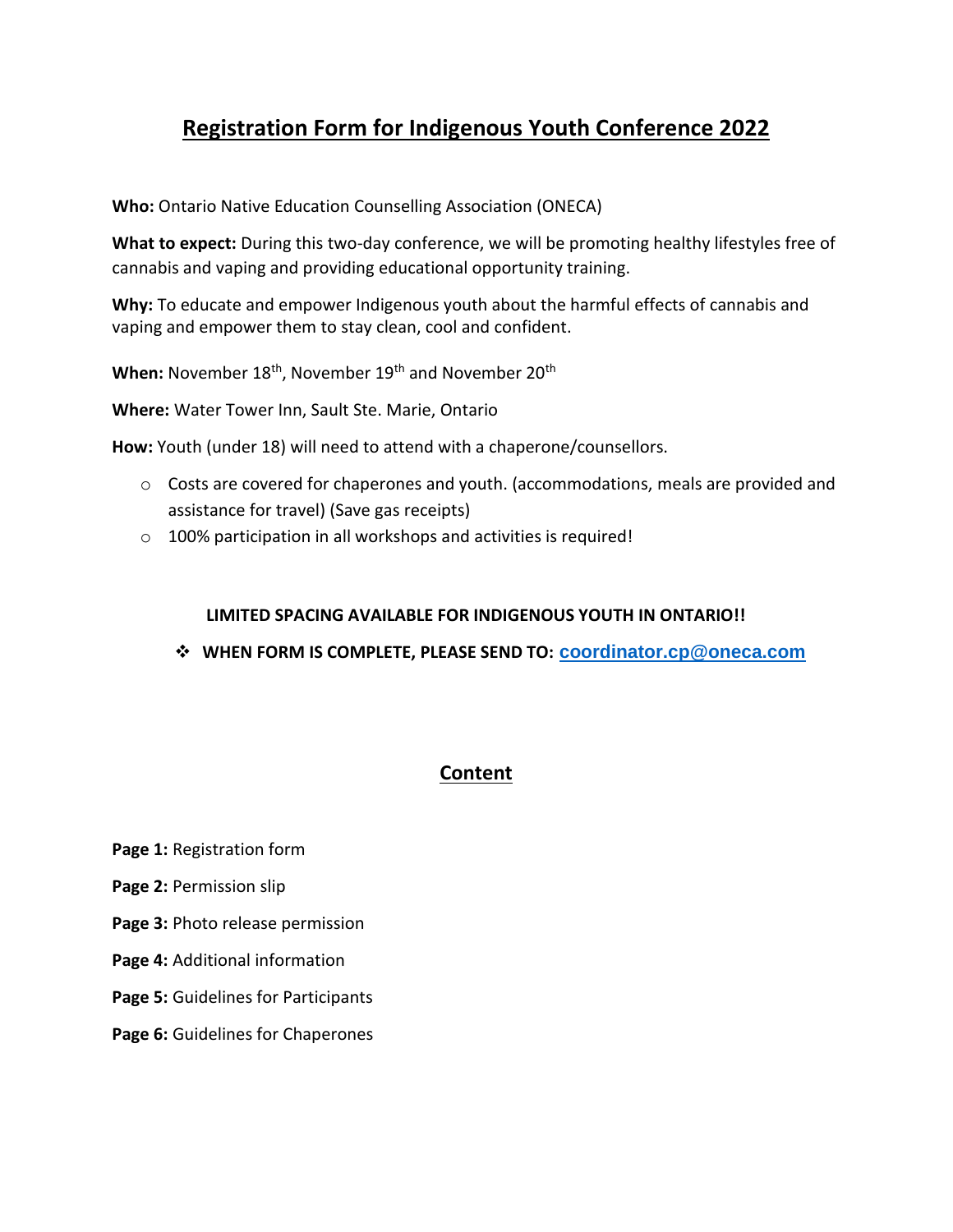### **Registration Form for Indigenous Youth Conference 2022**

**Who:** Ontario Native Education Counselling Association (ONECA)

**What to expect:** During this two-day conference, we will be promoting healthy lifestyles free of cannabis and vaping and providing educational opportunity training.

**Why:** To educate and empower Indigenous youth about the harmful effects of cannabis and vaping and empower them to stay clean, cool and confident.

When: November 18<sup>th</sup>, November 19<sup>th</sup> and November 20<sup>th</sup>

**Where:** Water Tower Inn, Sault Ste. Marie, Ontario

**How:** Youth (under 18) will need to attend with a chaperone/counsellors.

- $\circ$  Costs are covered for chaperones and youth. (accommodations, meals are provided and assistance for travel) (Save gas receipts)
- o 100% participation in all workshops and activities is required!

#### **LIMITED SPACING AVAILABLE FOR INDIGENOUS YOUTH IN ONTARIO!!**

❖ **WHEN FORM IS COMPLETE, PLEASE SEND TO: [coordinator.cp@oneca.com](mailto:coordinator.cp@oneca.com)**

#### **Content**

**Page 1:** Registration form

- **Page 2: Permission slip**
- **Page 3:** Photo release permission
- **Page 4:** Additional information
- **Page 5:** Guidelines for Participants
- **Page 6:** Guidelines for Chaperones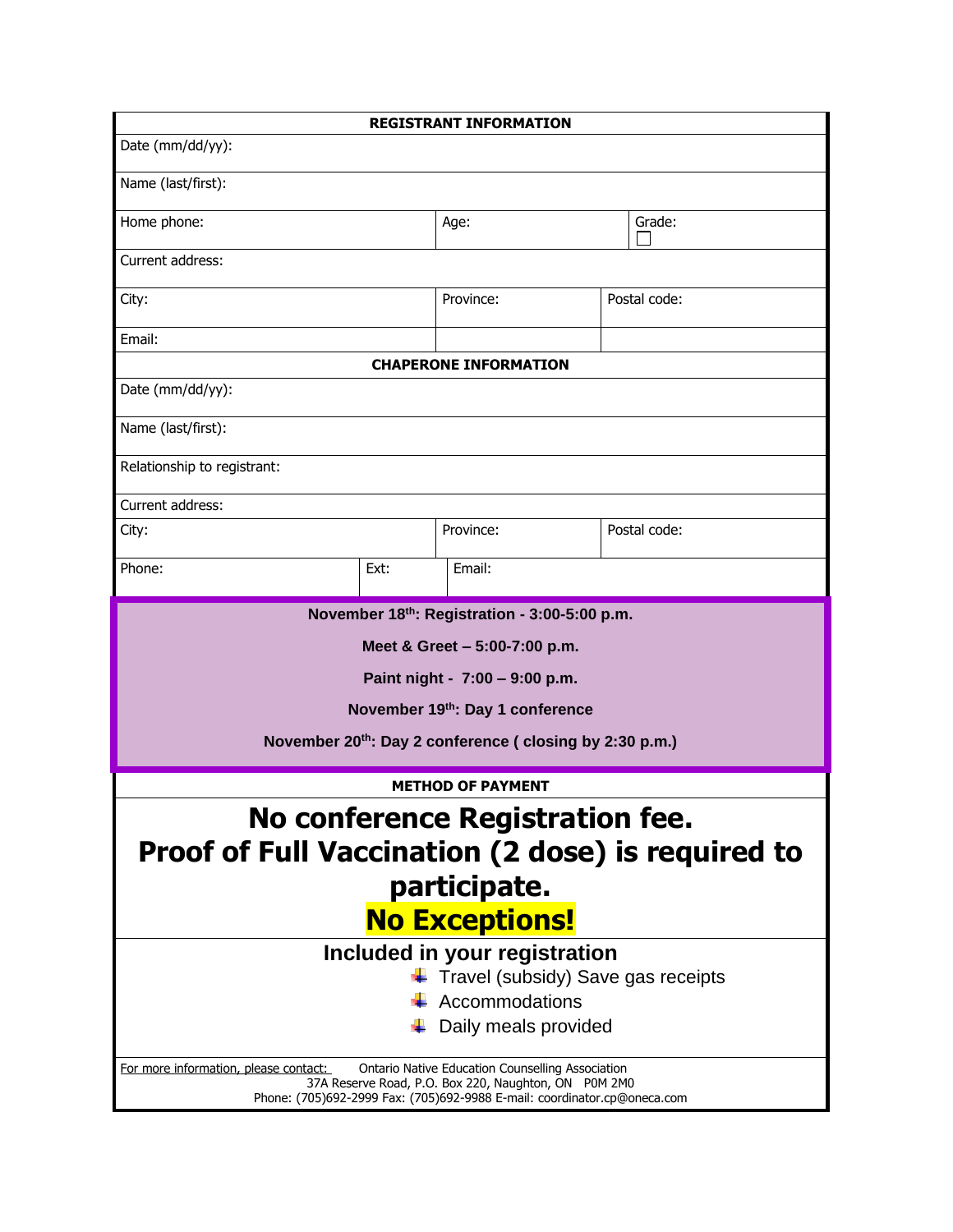|                                                                                                                   | <b>REGISTRANT INFORMATION</b>                                                                            |              |  |
|-------------------------------------------------------------------------------------------------------------------|----------------------------------------------------------------------------------------------------------|--------------|--|
| Date (mm/dd/yy):                                                                                                  |                                                                                                          |              |  |
| Name (last/first):                                                                                                |                                                                                                          |              |  |
| Home phone:                                                                                                       | Age:                                                                                                     | Grade:       |  |
| Current address:                                                                                                  |                                                                                                          |              |  |
| City:                                                                                                             | Province:                                                                                                | Postal code: |  |
| Email:                                                                                                            |                                                                                                          |              |  |
|                                                                                                                   | <b>CHAPERONE INFORMATION</b>                                                                             |              |  |
| Date (mm/dd/yy):                                                                                                  |                                                                                                          |              |  |
| Name (last/first):                                                                                                |                                                                                                          |              |  |
| Relationship to registrant:                                                                                       |                                                                                                          |              |  |
| Current address:                                                                                                  |                                                                                                          |              |  |
| City:                                                                                                             | Province:                                                                                                | Postal code: |  |
| Phone:<br>Ext:                                                                                                    | Email:                                                                                                   |              |  |
|                                                                                                                   | November 18th: Registration - 3:00-5:00 p.m.                                                             |              |  |
|                                                                                                                   | Meet & Greet - 5:00-7:00 p.m.                                                                            |              |  |
| Paint night - 7:00 - 9:00 p.m.                                                                                    |                                                                                                          |              |  |
|                                                                                                                   | November 19th: Day 1 conference                                                                          |              |  |
|                                                                                                                   | November 20th: Day 2 conference ( closing by 2:30 p.m.)                                                  |              |  |
|                                                                                                                   | <b>METHOD OF PAYMENT</b>                                                                                 |              |  |
| No conference Registration fee.                                                                                   |                                                                                                          |              |  |
|                                                                                                                   |                                                                                                          |              |  |
| <b>Proof of Full Vaccination (2 dose) is required to</b>                                                          |                                                                                                          |              |  |
| participate.                                                                                                      |                                                                                                          |              |  |
|                                                                                                                   | <b>No Exceptions!</b>                                                                                    |              |  |
|                                                                                                                   | Included in your registration                                                                            |              |  |
|                                                                                                                   | Travel (subsidy) Save gas receipts                                                                       |              |  |
|                                                                                                                   | Accommodations                                                                                           |              |  |
|                                                                                                                   | Daily meals provided                                                                                     |              |  |
| For more information, please contact:<br>Phone: (705)692-2999 Fax: (705)692-9988 E-mail: coordinator.cp@oneca.com | Ontario Native Education Counselling Association<br>37A Reserve Road, P.O. Box 220, Naughton, ON P0M 2M0 |              |  |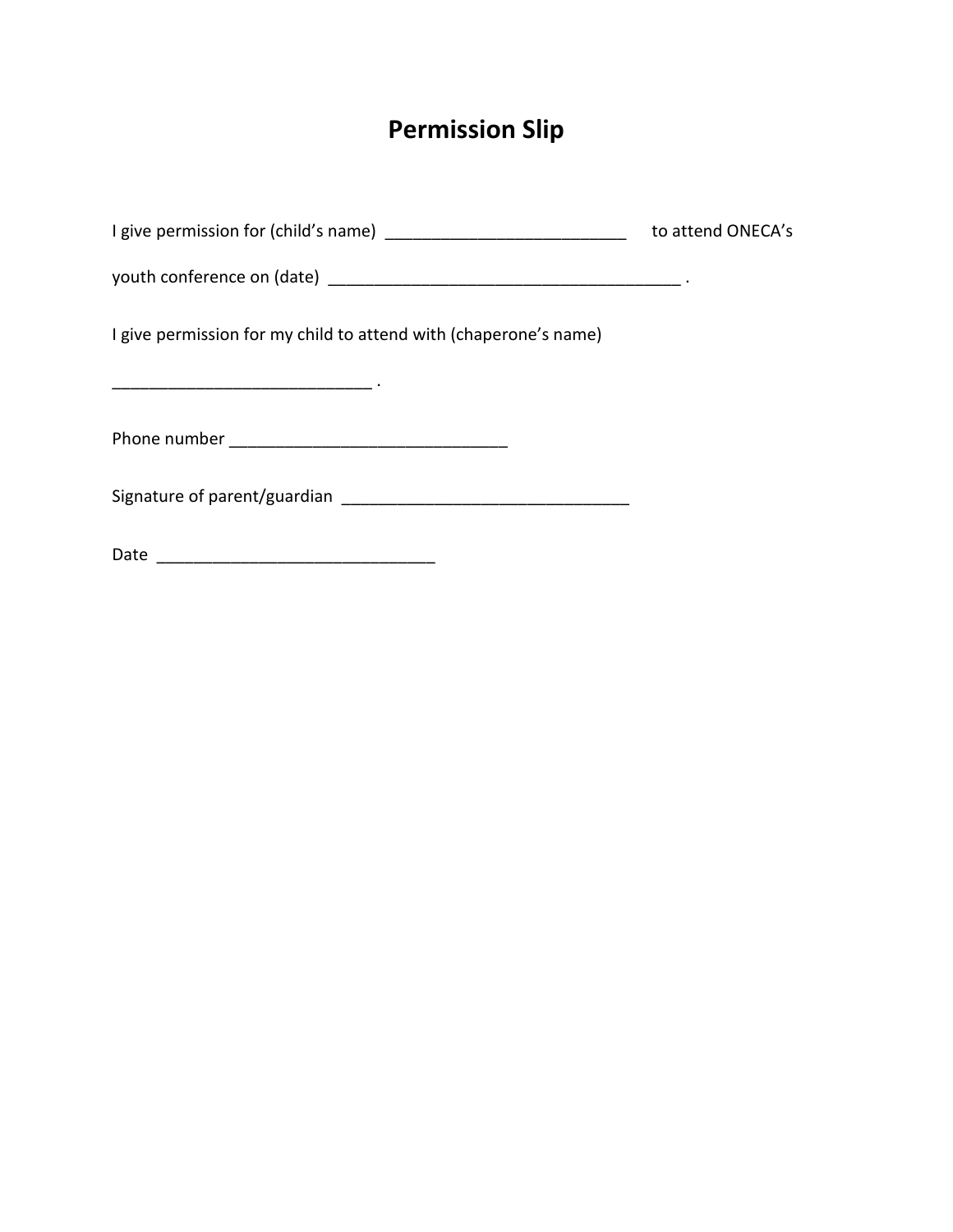# **Permission Slip**

|                                                                  | to attend ONECA's |
|------------------------------------------------------------------|-------------------|
|                                                                  |                   |
| I give permission for my child to attend with (chaperone's name) |                   |
|                                                                  |                   |
|                                                                  |                   |
|                                                                  |                   |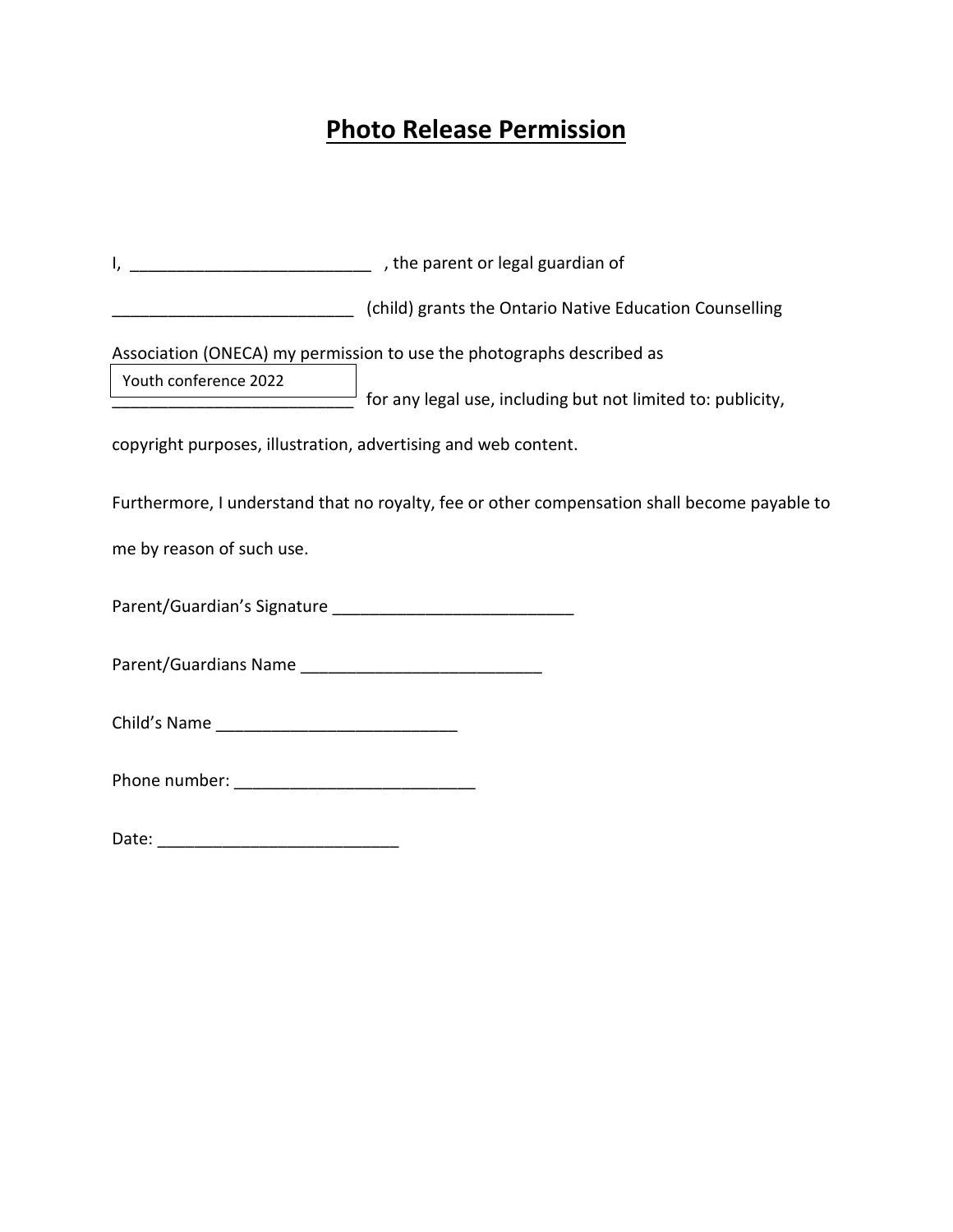# **Photo Release Permission**

|                                                                                                | (child) grants the Ontario Native Education Counselling                                      |
|------------------------------------------------------------------------------------------------|----------------------------------------------------------------------------------------------|
| Association (ONECA) my permission to use the photographs described as<br>Youth conference 2022 | [16] for any legal use, including but not limited to: publicity,                             |
| copyright purposes, illustration, advertising and web content.                                 |                                                                                              |
|                                                                                                | Furthermore, I understand that no royalty, fee or other compensation shall become payable to |
| me by reason of such use.                                                                      |                                                                                              |
|                                                                                                |                                                                                              |
|                                                                                                |                                                                                              |
|                                                                                                |                                                                                              |
|                                                                                                |                                                                                              |
| Date:                                                                                          |                                                                                              |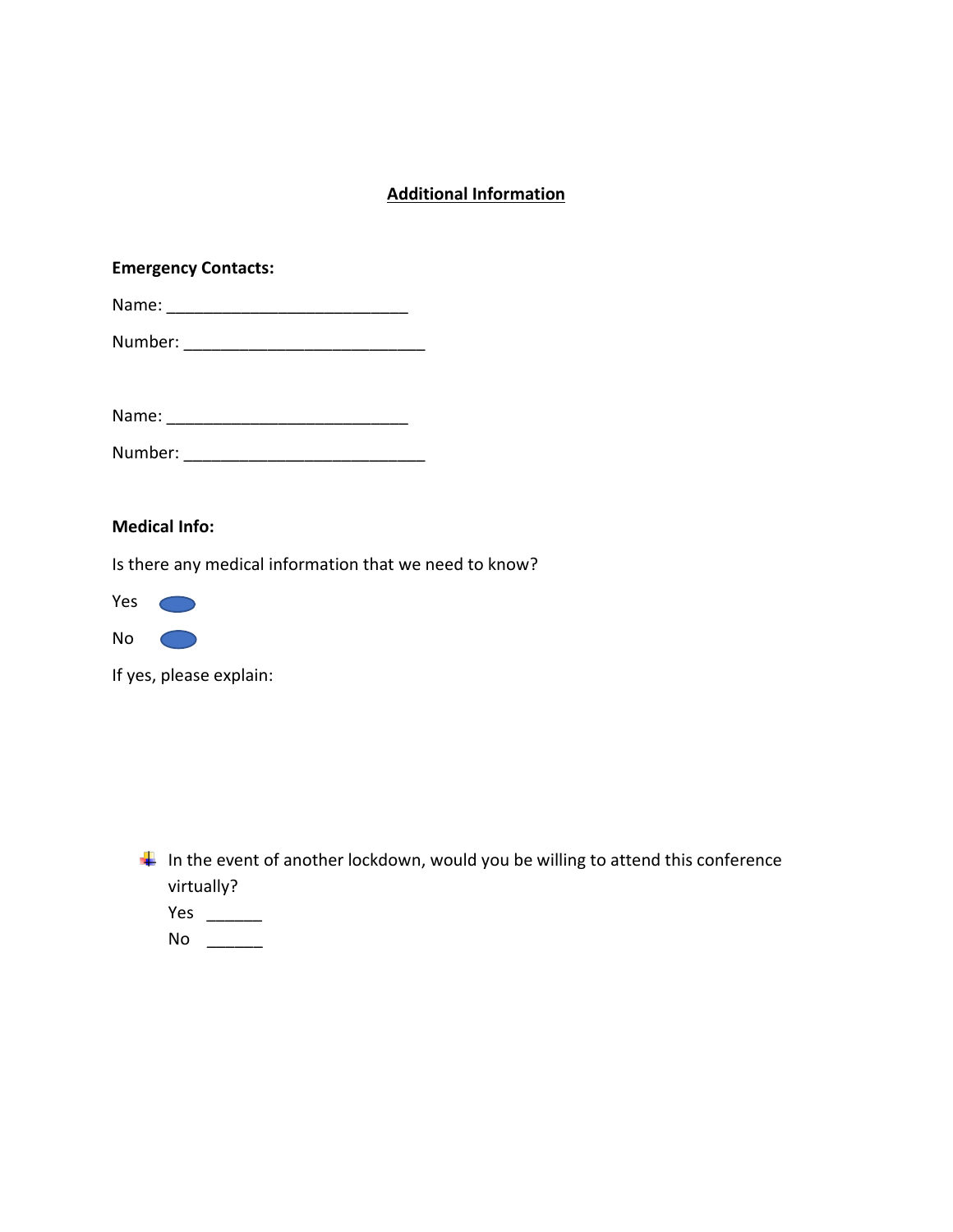#### **Additional Information**

#### **Emergency Contacts:**

| Name: |  |
|-------|--|
|-------|--|

Name: \_\_\_\_\_\_\_\_\_\_\_\_\_\_\_\_\_\_\_\_\_\_\_\_\_\_

#### **Medical Info:**

Is there any medical information that we need to know?

Yes and the property of the context of the context of the context of the context of the context of the context of the context of the context of the context of the context of the context of the context of the context of the

No and the set of the set of the set of the set of the set of the set of the set of the set of the set of the set of the set of the set of the set of the set of the set of the set of the set of the set of the set of the se

If yes, please explain:

 $\frac{1}{2}$  In the event of another lockdown, would you be willing to attend this conference virtually?

Yes \_\_\_\_\_\_ No \_\_\_\_\_\_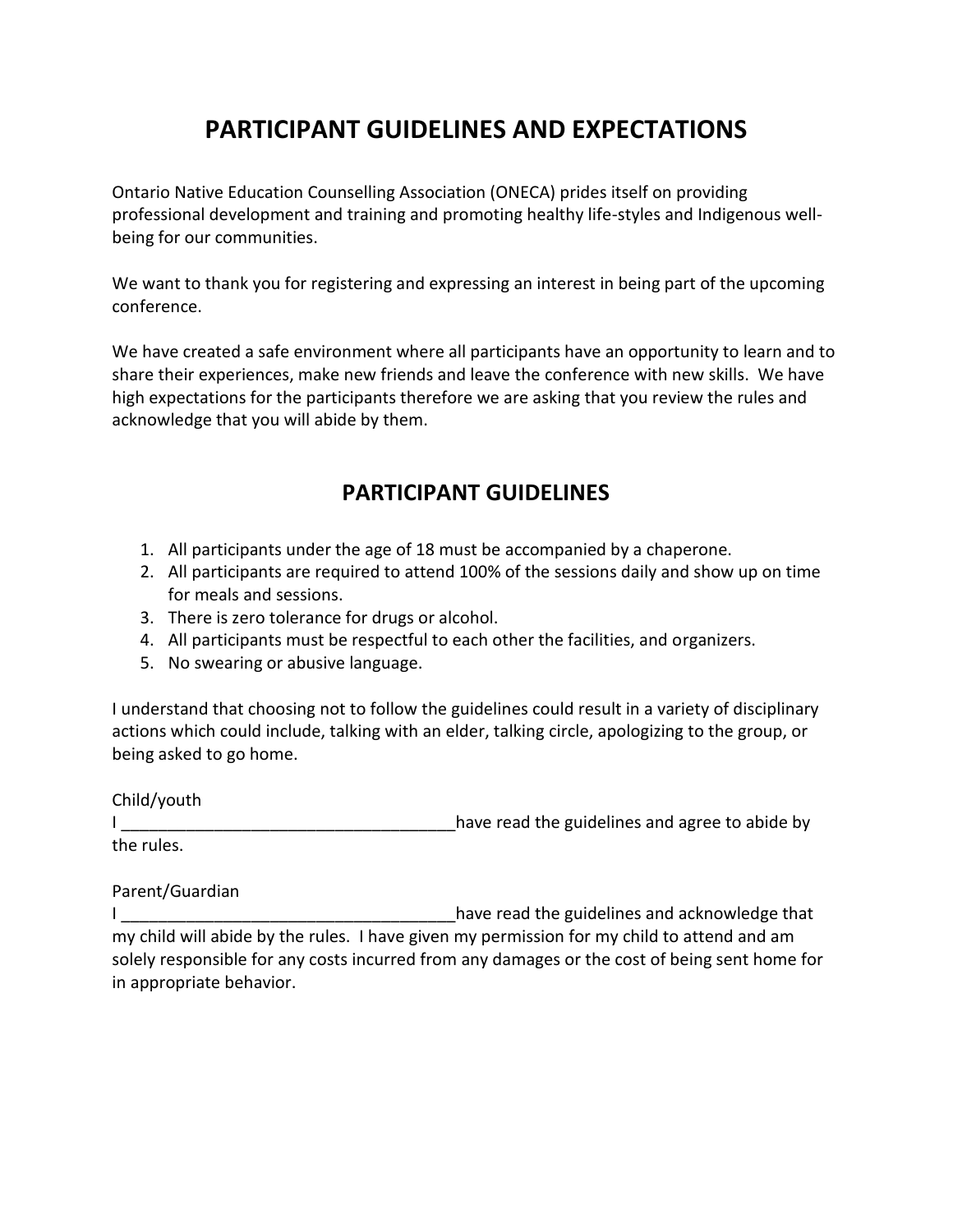## **PARTICIPANT GUIDELINES AND EXPECTATIONS**

Ontario Native Education Counselling Association (ONECA) prides itself on providing professional development and training and promoting healthy life-styles and Indigenous wellbeing for our communities.

We want to thank you for registering and expressing an interest in being part of the upcoming conference.

We have created a safe environment where all participants have an opportunity to learn and to share their experiences, make new friends and leave the conference with new skills. We have high expectations for the participants therefore we are asking that you review the rules and acknowledge that you will abide by them.

### **PARTICIPANT GUIDELINES**

- 1. All participants under the age of 18 must be accompanied by a chaperone.
- 2. All participants are required to attend 100% of the sessions daily and show up on time for meals and sessions.
- 3. There is zero tolerance for drugs or alcohol.
- 4. All participants must be respectful to each other the facilities, and organizers.
- 5. No swearing or abusive language.

I understand that choosing not to follow the guidelines could result in a variety of disciplinary actions which could include, talking with an elder, talking circle, apologizing to the group, or being asked to go home.

| Child/youth |                                                |
|-------------|------------------------------------------------|
|             | have read the guidelines and agree to abide by |
| the rules.  |                                                |

| Parent/Guardian          |                                                                                               |
|--------------------------|-----------------------------------------------------------------------------------------------|
|                          | have read the guidelines and acknowledge that                                                 |
|                          | my child will abide by the rules. I have given my permission for my child to attend and am    |
|                          | solely responsible for any costs incurred from any damages or the cost of being sent home for |
| in appropriate behavior. |                                                                                               |